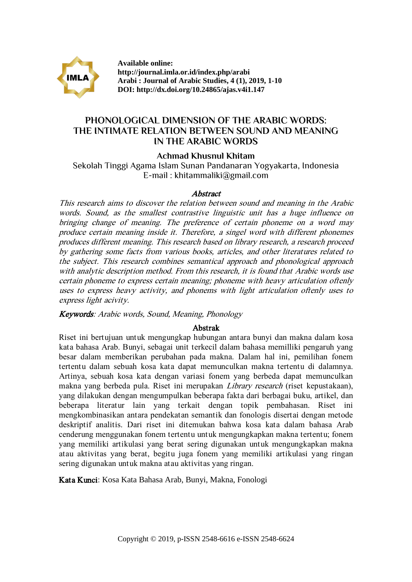

**Available online: http://journal.imla.or.id/index.php/arabi Arabi : Journal of Arabic Studies, 4 (1), 2019, 1-10 DOI: http://dx.doi.org/10.24865/ajas.v4i1.147**

# **PHONOLOGICAL DIMENSION OF THE ARABIC WORDS: THE INTIMATE RELATION BETWEEN SOUND AND MEANING IN THE ARABIC WORDS**

**Achmad Khusnul Khitam**

Sekolah Tinggi Agama Islam Sunan Pandanaran Yogyakarta, Indonesia E-mail : khitammaliki@gmail.com

# Abstract

This research aims to discover the relation between sound and meaning in the Arabic words. Sound, as the smallest contrastive linguistic unit has a huge influence on bringing change of meaning. The preference of certain phoneme on a word may produce certain meaning inside it. Therefore, a singel word with different phonemes produces different meaning. This research based on library research, a research proceed by gathering some facts from various books, articles, and other literatures related to the subject. This research combines semantical approach and phonological approach with analytic description method. From this research, it is found that Arabic words use certain phoneme to express certain meaning; phoneme with heavy articulation oftenly uses to express heavy activity, and phonems with light articulation oftenly uses to express light acivity.

Keywords: Arabic words, Sound, Meaning, Phonology

# Abstrak

Riset ini bertujuan untuk mengungkap hubungan antara bunyi dan makna dalam kosa kata bahasa Arab. Bunyi, sebagai unit terkecil dalam bahasa memilliki pengaruh yang besar dalam memberikan perubahan pada makna. Dalam hal ini, pemilihan fonem tertentu dalam sebuah kosa kata dapat memunculkan makna tertentu di dalamnya. Artinya, sebuah kosa kata dengan variasi fonem yang berbeda dapat memunculkan makna yang berbeda pula. Riset ini merupakan Library research (riset kepustakaan), yang dilakukan dengan mengumpulkan beberapa fakta dari berbagai buku, artikel, dan beberapa literatur lain yang terkait dengan topik pembahasan. Riset ini mengkombinasikan antara pendekatan semantik dan fonologis disertai dengan metode deskriptif analitis. Dari riset ini ditemukan bahwa kosa kata dalam bahasa Arab cenderung menggunakan fonem tertentu untuk mengungkapkan makna tertentu; fonem yang memiliki artikulasi yang berat sering digunakan untuk mengungkapkan makna atau aktivitas yang berat, begitu juga fonem yang memiliki artikulasi yang ringan sering digunakan untuk makna atau aktivitas yang ringan.

Kata Kunci: Kosa Kata Bahasa Arab, Bunyi, Makna, Fonologi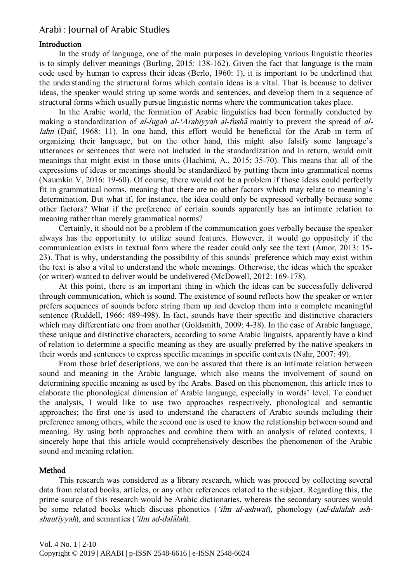# Introduction

In the study of language, one of the main purposes in developing various linguistic theories is to simply deliver meanings (Burling, 2015: 138-162). Given the fact that language is the main code used by human to express their ideas (Berlo, 1960: 1), it is important to be underlined that the understanding the structural forms which contain ideas is a vital. That is because to deliver ideas, the speaker would string up some words and sentences, and develop them in a sequence of structural forms which usually pursue linguistic norms where the communication takes place.

In the Arabic world, the formation of Arabic linguistics had been formally conducted by making a standardization of al-lugah al-'Arabiyyah al-fusha mainly to prevent the spread of allahn (Daif, 1968: 11). In one hand, this effort would be beneficial for the Arab in term of organizing their language, but on the other hand, this might also falsify some language's utterances or sentences that were not included in the standardization and in return, would omit meanings that might exist in those units (Hachimi, A., 2015: 35-70). This means that all of the expressions of ideas or meanings should be standardized by putting them into grammatical norms (Naumkin V, 2016: 19-60). Of course, there would not be a problem if those ideas could perfectly fit in grammatical norms, meaning that there are no other factors which may relate to meaning's determination. But what if, for instance, the idea could only be expressed verbally because some other factors? What if the preference of certain sounds apparently has an intimate relation to meaning rather than merely grammatical norms?

Certainly, it should not be a problem if the communication goes verbally because the speaker always has the opportunity to utilize sound features. However, it would go oppositely if the communication exists in textual form where the reader could only see the text (Amor, 2013: 15- 23). That is why, understanding the possibility of this sounds' preference which may exist within the text is also a vital to understand the whole meanings. Otherwise, the ideas which the speaker (or writer) wanted to deliver would be undelivered (McDowell, 2012: 169-178).

At this point, there is an important thing in which the ideas can be successfully delivered through communication, which is sound. The existence of sound reflects how the speaker or writer prefers sequences of sounds before string them up and develop them into a complete meaningful sentence (Ruddell, 1966: 489-498). In fact, sounds have their specific and distinctive characters which may differentiate one from another (Goldsmith, 2009: 4-38). In the case of Arabic language, these unique and distinctive characters, according to some Arabic linguists, apparently have a kind of relation to determine a specific meaning as they are usually preferred by the native speakers in their words and sentences to express specific meanings in specific contexts (Nahr, 2007: 49).

From those brief descriptions, we can be assured that there is an intimate relation between sound and meaning in the Arabic language, which also means the involvement of sound on determining specific meaning as used by the Arabs. Based on this phenomenon, this article tries to elaborate the phonological dimension of Arabic language, especially in words' level. To conduct the analysis, I would like to use two approaches respectively, phonological and semantic approaches; the first one is used to understand the characters of Arabic sounds including their preference among others, while the second one is used to know the relationship between sound and meaning. By using both approaches and combine them with an analysis of related contexts, I sincerely hope that this article would comprehensively describes the phenomenon of the Arabic sound and meaning relation.

# Method

This research was considered as a library research, which was proceed by collecting several data from related books, articles, or any other references related to the subject. Regarding this, the prime source of this research would be Arabic dictionaries, whereas the secondary sources would be some related books which discuss phonetics ('ilm al-ashwat), phonology (ad-dalalah ash $shautiyyah$ , and semantics ('ilm ad-dalalah).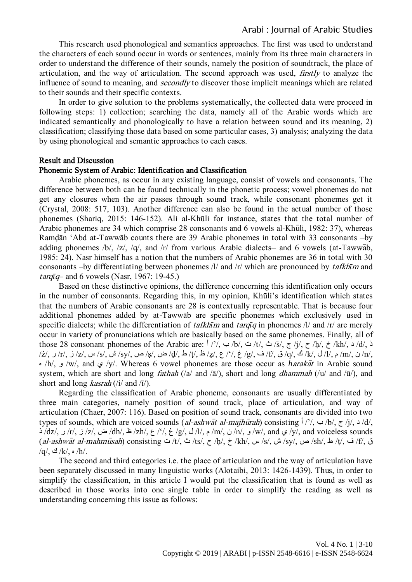This research used phonological and semantics approaches. The first was used to understand the characters of each sound occur in words or sentences, mainly from its three main characters in order to understand the difference of their sounds, namely the position of soundtrack, the place of articulation, and the way of articulation. The second approach was used, firstly to analyze the influence of sound to meaning, and *secondly* to discover those implicit meanings which are related to their sounds and their specific contexts.

In order to give solution to the problems systematically, the collected data were proceed in following steps: 1) collection; searching the data, namely all of the Arabic words which are indicated semantically and phonologically to have a relation between sound and its meaning, 2) classification; classifying those data based on some particular cases, 3) analysis; analyzing the data by using phonological and semantic approaches to each cases.

#### Result and Discussion

# Phonemic System of Arabic: Identification and Classification

Arabic phonemes, as occur in any existing language, consist of vowels and consonants. The difference between both can be found technically in the phonetic process; vowel phonemes do not get any closures when the air passes through sound track, while consonant phonemes get it (Crystal, 2008: 517, 103). Another difference can also be found in the actual number of those phonemes (Shariq, 2015: 146-152). Ali al-Khūli for instance, states that the total number of Arabic phonemes are  $34$  which comprise 28 consonants and 6 vowels al-Khuli, 1982: 37), whereas Ramḍān 'Abd at-Tawwāb counts there are 39 Arabic phonemes in total with 33 consonants –by adding phonemes /b/, /z/, /q/, and /r/ from various Arabic dialects– and 6 vowels (at-Tawwab, 1985: 24). Nasr himself has a notion that the numbers of Arabic phonemes are 36 in total with 30 consonants –by differentiating between phonemes /l/ and /r/ which are pronounced by tafkh*ī*m and *targ* $\bar{q}$ – and 6 vowels (Nasr, 1967: 19-45.)

Based on these distinctive opinions, the difference concerning this identification only occurs in the number of consonants. Regarding this, in my opinion, Khūli's identification which states that the numbers of Arabic consonants are 28 is contextually representable. That is because four additional phonemes added by at-Tawwāb are specific phonemes which exclusively used in specific dialects; while the differentiation of *tafkh* $\bar{r}$  and *tarq* $\bar{q}$  in phonemes /l/ and /r/ are merely occur in variety of pronunciations which are basically based on the same phonemes. Finally, all of those 28 consonant phonemes of the Arabic are:  $\frac{1}{7}$ /, ب /b/, ت /t/, ث /s/, ج /j/, ح /h/, خ /kh/, د /d/, ذ /n/ ن /m/ م /l/ ك /k/ ك /q/ ق /f/ ف /g/ غ /l/ ك /z/ ظ /t/ ط /d/ ض /s/ ص /sy/ ش /sy/ س /z/ ر /r/ ز /z/ ر /z/ ر/ ه /h/, و /w/, and ي /y/. Whereas 6 vowel phonemes are those occur as *h*araka>t in Arabic sound system, which are short and long *fathah* (/a/ and / $\bar{a}$ /), short and long *dhammah* (/u/ and / $\bar{u}$ /), and short and long *kasrah* (/i/ and /ī/).

Regarding the classification of Arabic phoneme, consonants are usually differentiated by three main categories, namely position of sound track, place of articulation, and way of articulation (Chaer, 2007: 116). Based on position of sound track, consonants are divided into two types of sounds, which are voiced sounds (al-ashwat al-majhurah) consisting  $\int$  /'/,  $\sim$  /b/,  $\tau$  /j/,  $\sim$  /d/, ذ /dz/, حن /z/, ض /dh/, ظ /zh/, ع /w/, and yoiceless sounds // م /u/, غ /dz/, خ /dz/, خ /dz/, أذ /dz/ ذ /u/, and yoiceless sounds  $(al\text{-}ashw\bar{a}t$  al-mahmusah) consisting ت /t/, ث /ts/, ح /kh/, خ /kh/, ش /sy/, ه /sy/, ط /sh/, ف /t/, ف /t/, ف /t/, ف /t/, ف /sh/  $/q$ / $\frac{3}{k}$ / $\frac{k}{n}$ / $h/$ .

The second and third categories i.e. the place of articulation and the way of articulation have been separately discussed in many linguistic works (Alotaibi, 2013: 1426-1439). Thus, in order to simplify the classification, in this article I would put the classification that is found as well as described in those works into one single table in order to simplify the reading as well as understanding concerning this issue as follows: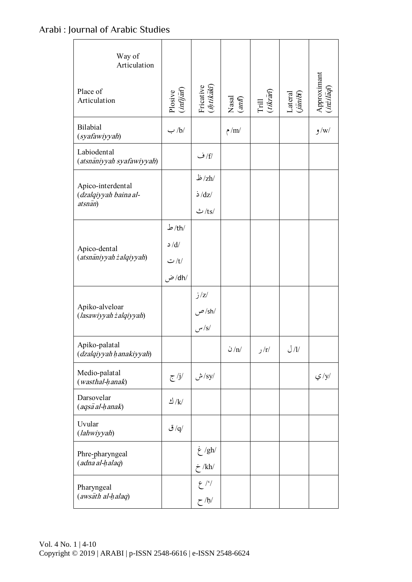| Way of<br>Articulation                                |                                                                                |                                  |                                                       |                                                                     |                                                                |                                              |
|-------------------------------------------------------|--------------------------------------------------------------------------------|----------------------------------|-------------------------------------------------------|---------------------------------------------------------------------|----------------------------------------------------------------|----------------------------------------------|
| Place of<br>Articulation                              | $\begin{array}{c} \mathrm{Plosive} \\ (in \hat{tj}\hat{a}\hat{n}) \end{array}$ | Fricative<br>( <i>ihtikāk</i> ī) | Nasal $\left( \begin{matrix} 4m \end{matrix} \right)$ | $\begin{array}{c} \text{Trill} \\ (tikr\bar{a}\vec{n}) \end{array}$ | $\begin{array}{c} \text{Lateral} \\ \text{(amin)} \end{array}$ | Approximant<br>( $i\pi i l\bar{a}q\bar{n}$ ) |
| Bilabial<br>(syafawiyyah)                             | $\leftrightarrow$ /b/                                                          |                                  | م/m/                                                  |                                                                     |                                                                | $/$ و $/$                                    |
| Labiodental<br>(atsnāniyyah syafawiyyah)              |                                                                                | /f/ ف                            |                                                       |                                                                     |                                                                |                                              |
| Apico-interdental<br>(dzalqiyyah baina al-<br>atsnan) |                                                                                | ظ $\rm{Zh/}$                     |                                                       |                                                                     |                                                                |                                              |
|                                                       |                                                                                | $\dot{\Delta}$ /dz/              |                                                       |                                                                     |                                                                |                                              |
|                                                       |                                                                                | $-ts/$                           |                                                       |                                                                     |                                                                |                                              |
| Apico-dental<br>(atsnāniyyah żalqiyyah)               | $\frac{1}{2}$ /th                                                              |                                  |                                                       |                                                                     |                                                                |                                              |
|                                                       | d/d                                                                            |                                  |                                                       |                                                                     |                                                                |                                              |
|                                                       | ت /t/                                                                          |                                  |                                                       |                                                                     |                                                                |                                              |
|                                                       | /dh/ ض                                                                         |                                  |                                                       |                                                                     |                                                                |                                              |
| Apiko-alveloar<br>(lasawiyyah żalqiyyah)              |                                                                                | j/z/                             |                                                       |                                                                     |                                                                |                                              |
|                                                       |                                                                                | /sh/ ص                           |                                                       |                                                                     |                                                                |                                              |
|                                                       |                                                                                | $/$ س                            |                                                       |                                                                     |                                                                |                                              |
| Apiko-palatal<br>(dzalqiyyah hanakiyyah)              |                                                                                |                                  | $\mathcal{O}/n/2$                                     | ر $/r/$                                                             | J/I/                                                           |                                              |
| Medio-palatal<br>(wasthal-hanak)                      | /j/ ج                                                                          | ش/ $s$ y/                        |                                                       |                                                                     |                                                                | ي /y/                                        |
| Darsovelar<br>$(ags\bar{a} al-hanak)$                 | الا $\mathcal{N}$                                                              |                                  |                                                       |                                                                     |                                                                |                                              |
| Uvular<br>(lahwiyyah)                                 | /q/ ق                                                                          |                                  |                                                       |                                                                     |                                                                |                                              |
| Phre-pharyngeal<br>(adna al-halaq)                    |                                                                                | /gh/ غ                           |                                                       |                                                                     |                                                                |                                              |
|                                                       |                                                                                | $\dot{\mathcal{F}}$ /kh/         |                                                       |                                                                     |                                                                |                                              |
| Pharyngeal<br>(awsath al-halaq)                       |                                                                                | $2^{\prime}/$<br>$\zeta$ /h/     |                                                       |                                                                     |                                                                |                                              |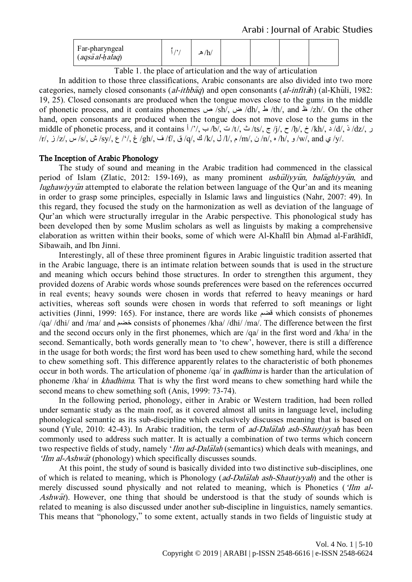| Far-pharyngeal<br>$(ags\bar{a} al-halaq)$ |  | /h<br>هر |  |  |  |  |
|-------------------------------------------|--|----------|--|--|--|--|
|-------------------------------------------|--|----------|--|--|--|--|

Table 1. the place of articulation and the way of articulation

In addition to those three classifications, Arabic consonants are also divided into two more categories, namely closed consonants (*al-ithbaq*) and open consonants (*al-infitah*) (al-Khuli, 1982: 19, 25). Closed consonants are produced when the tongue moves close to the gums in the middle of phonetic process, and it contains phonemes ص /sh/, ض /dh/, ط /th/, and ظ /zh/. On the other hand, open consonants are produced when the tongue does not move close to the gums in the middle of phonetic process, and it contains  $\frac{1}{7}$ ,  $\frac{1}{7}$ ,  $\frac{1}{7}$ ,  $\frac{1}{7}$ ,  $\frac{1}{7}$ ,  $\frac{1}{7}$ ,  $\frac{1}{7}$ ,  $\frac{1}{7}$ ,  $\frac{1}{7}$ ,  $\frac{1}{7}$ ,  $\frac{1}{7}$ ,  $\frac{1}{7}$ ,  $\frac{1}{7}$ ,  $\frac{1}{7}$ ,  $\frac{1}{7}$ ,  $\frac{1}{7}$ , /r/, ز /z/, س /s/, ش /sy/, ع /'/, غ /gh/, ف /f/, ق /q/, ن /k/, ل /l/, م /m/, ن /n/, ه /h/, و /w/, and ي /y/.

# The Inception of Arabic Phonology

The study of sound and meaning in the Arabic tradition had commenced in the classical period of Islam (Zlatic, 2012: 159-169), as many prominent ushuliyyun, balaghiyyun, and  $lughawiyy\bar{u}n$  attempted to elaborate the relation between language of the Qur'an and its meaning in order to grasp some principles, especially in Islamic laws and linguistics (Nahr, 2007: 49). In this regard, they focused the study on the harmonization as well as deviation of the language of Qur'an which were structurally irregular in the Arabic perspective. This phonological study has been developed then by some Muslim scholars as well as linguists by making a comprehensive elaboration as written within their books, some of which were Al-Khalīl bin Aḥmad al-Farāhīdī, Sibawaih, and Ibn Jinni.

Interestingly, all of these three prominent figures in Arabic linguistic tradition asserted that in the Arabic language, there is an intimate relation between sounds that is used in the structure and meaning which occurs behind those structures. In order to strengthen this argument, they provided dozens of Arabic words whose sounds preferences were based on the references occurred in real events; heavy sounds were chosen in words that referred to heavy meanings or hard activities, whereas soft sounds were chosen in words that referred to soft meanings or light activities (Jinni, 1999: 165). For instance, there are words like لضم which consists of phonemes /qa/ /dhi/ and /ma/ and خضم consists of phonemes /kha/ /dhi/ /ma/. The difference between the first and the second occurs only in the first phonemes, which are /qa/ in the first word and /kha/ in the second. Semantically, both words generally mean to 'to chew', however, there is still a difference in the usage for both words; the first word has been used to chew something hard, while the second to chew something soft. This difference apparently relates to the characteristic of both phonemes occur in both words. The articulation of phoneme /qa/ in qadhima is harder than the articulation of phoneme /kha/ in khadhima. That is why the first word means to chew something hard while the second means to chew something soft (Anis, 1999: 73-74).

In the following period, phonology, either in Arabic or Western tradition, had been rolled under semantic study as the main roof, as it covered almost all units in language level, including phonological semantic as its sub-discipline which exclusively discusses meaning that is based on sound (Yule, 2010: 42-43). In Arabic tradition, the term of *ad-Dalalah ash-Shautiyyah* has been commonly used to address such matter. It is actually a combination of two terms which concern two respective fields of study, namely '*Ilm ad-Dalalah* (semantics) which deals with meanings, and ' $\lim$  al-Ashwat (phonology) which specifically discusses sounds.

At this point, the study of sound is basically divided into two distinctive sub-disciplines, one of which is related to meaning, which is Phonology (*ad-Dalalah ash-Shautiyyah*) and the other is merely discussed sound physically and not related to meaning, which is Phonetics ('Ilm al-Ashwat). However, one thing that should be understood is that the study of sounds which is related to meaning is also discussed under another sub-discipline in linguistics, namely semantics. This means that 'phonology,' to some extent, actually stands in two fields of linguistic study at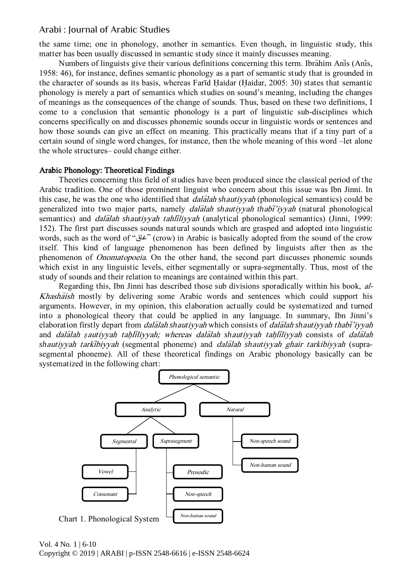the same time; one in phonology, another in semantics. Even though, in linguistic study, this matter has been usually discussed in semantic study since it mainly discusses meaning.

Numbers of linguists give their various definitions concerning this term. Ibrahim Anis (Anis, 1958: 46), for instance, defines semantic phonology as a part of semantic study that is grounded in the character of sounds as its basis, whereas Fartd Haidar (Haidar, 2005: 30) states that semantic phonology is merely a part of semantics which studies on sound's meaning, including the changes of meanings as the consequences of the change of sounds. Thus, based on these two definitions, I come to a conclusion that semantic phonology is a part of linguistic sub-disciplines which concerns specifically on and discusses phonemic sounds occur in linguistic words or sentences and how those sounds can give an effect on meaning. This practically means that if a tiny part of a certain sound of single word changes, for instance, then the whole meaning of this word –let alone the whole structures– could change either.

# Arabic Phonology: Theoretical Findings

Theories concerning this field of studies have been produced since the classical period of the Arabic tradition. One of those prominent linguist who concern about this issue was Ibn Jinni. In this case, he was the one who identified that *dalalah shautiyyah* (phonological semantics) could be generalized into two major parts, namely *dalalah shautiyyah thabi'iyyah* (natural phonological semantics) and *dalalah shautivyah tahliliyyah* (analytical phonological semantics) (Jinni, 1999: 152). The first part discusses sounds natural sounds which are grasped and adopted into linguistic words, such as the word of 'غاق) 'crow) in Arabic is basically adopted from the sound of the crow itself. This kind of language phenomenon has been defined by linguists after then as the phenomenon of Onomatopoeia. On the other hand, the second part discusses phonemic sounds which exist in any linguistic levels, either segmentally or supra-segmentally. Thus, most of the study of sounds and their relation to meanings are contained within this part.

Regarding this, Ibn Jinni has described those sub divisions sporadically within his book, al-Khashaish mostly by delivering some Arabic words and sentences which could support his arguments. However, in my opinion, this elaboration actually could be systematized and turned into a phonological theory that could be applied in any language. In summary, Ibn Jinni's elaboration firstly depart from *dalalah shautiyyah* which consists of *dalalah shautiyyah thabi'iyyah* and *dalalah şautiyyah tahliliyyah; whereas dalalah shautiyyah tahliliyyah* consists of *dalalah* shautiyyah tarkibiyyah (segmental phoneme) and *dalalah shautiyyah ghair tarkibiyyah* (suprasegmental phoneme). All of these theoretical findings on Arabic phonology basically can be systematized in the following chart:

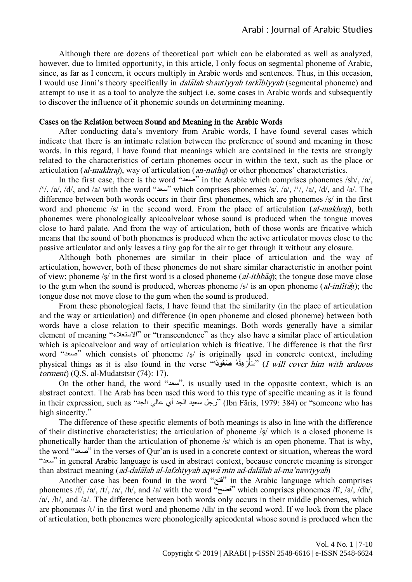Although there are dozens of theoretical part which can be elaborated as well as analyzed, however, due to limited opportunity, in this article, I only focus on segmental phoneme of Arabic, since, as far as I concern, it occurs multiply in Arabic words and sentences. Thus, in this occasion, I would use Jinni's theory specifically in *dalalah shautiyyah tarkibiyyah* (segmental phoneme) and attempt to use it as a tool to analyze the subject i.e. some cases in Arabic words and subsequently to discover the influence of it phonemic sounds on determining meaning.

# Cases on the Relation between Sound and Meaning in the Arabic Words

After conducting data's inventory from Arabic words, I have found several cases which indicate that there is an intimate relation between the preference of sound and meaning in those words. In this regard, I have found that meanings which are contained in the texts are strongly related to the characteristics of certain phonemes occur in within the text, such as the place or articulation (*al-makhraj*), way of articulation (*an-nuthq*) or other phonemes' characteristics.

In the first case, there is the word 'صعد 'in the Arabic which comprises phonemes /sh/, /a/, /'/, /a/, /d/, and /a/ with the word "سعد" which comprises phonemes /s/, /a/, /'/, /a/, /d/, and /a/. The difference between both words occurs in their first phonemes, which are phonemes /ṣ/ in the first word and phoneme /s/ in the second word. From the place of articulation *(al-makhraj)*, both phonemes were phonologically apicoalveloar whose sound is produced when the tongue moves close to hard palate. And from the way of articulation, both of those words are fricative which means that the sound of both phonemes is produced when the active articulator moves close to the passive articulator and only leaves a tiny gap for the air to get through it without any closure.

Although both phonemes are similar in their place of articulation and the way of articulation, however, both of these phonemes do not share similar characteristic in another point of view; phoneme /s/ in the first word is a closed phoneme (al-ithba); the tongue dose move close to the gum when the sound is produced, whereas phoneme /s/ is an open phoneme (*al-infitah*); the tongue dose not move close to the gum when the sound is produced.

From these phonological facts, I have found that the similarity (in the place of articulation and the way or articulation) and difference (in open phoneme and closed phoneme) between both words have a close relation to their specific meanings. Both words generally have a similar element of meaning 'االستعالء 'or 'transcendence' as they also have a similar place of articulation which is apicoalveloar and way of articulation which is fricative. The difference is that the first word 'صعد 'which consists of phoneme /ṣ/ is originally used in concrete context, including physical things as it is also found in the verse '''سَأَرْهِقُهُ صَغُوْدًا'' *(I will cover him with arduous* ُ torment) (Q.S. al-Mudatstsir (74): 17).

On the other hand, the word 'سعد', is usually used in the opposite context, which is an abstract context. The Arab has been used this word to this type of specific meaning as it is found in their expression, such as 'الجد عالي أي الجد سعيد رجل) 'Ibn Fāris, 1979: 384) or 'someone who has high sincerity."

The difference of these specific elements of both meanings is also in line with the difference of their distinctive characteristics; the articulation of phoneme /ṣ/ which is a closed phoneme is phonetically harder than the articulation of phoneme /s/ which is an open phoneme. That is why, the word 'صعد 'in the verses of Qur'an is used in a concrete context or situation, whereas the word 'سعد 'in general Arabic language is used in abstract context, because concrete meaning is stronger than abstract meaning (*ad-dala<sup>lah al-lafzhiyyah aqwa min ad-dalalah al-ma'nawiyyah*)</sup>

Another case has been found in the word 'فتح 'in the Arabic language which comprises phonemes /f/, /a/, /t/, /a/, /h/, and /a/ with the word 'فضح 'which comprises phonemes /f/, /a/, /dh/, /a/, /h/, and /a/. The difference between both words only occurs in their middle phonemes, which are phonemes /t/ in the first word and phoneme /dh/ in the second word. If we look from the place of articulation, both phonemes were phonologically apicodental whose sound is produced when the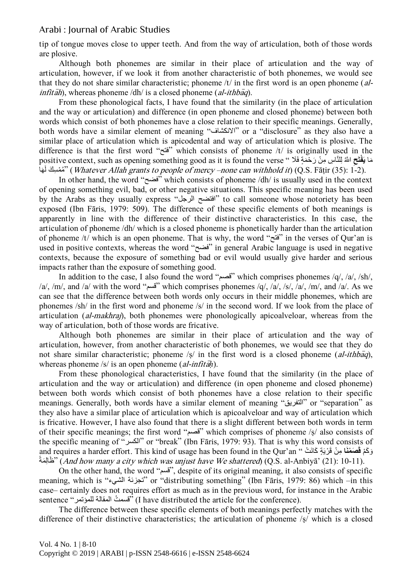tip of tongue moves close to upper teeth. And from the way of articulation, both of those words are plosive.

Although both phonemes are similar in their place of articulation and the way of articulation, however, if we look it from another characteristic of both phonemes, we would see that they do not share similar characteristic; phoneme /t/ in the first word is an open phoneme (al- $\int$ infitah), whereas phoneme /dh/ is a closed phoneme (al-ithbaq).

From these phonological facts, I have found that the similarity (in the place of articulation and the way or articulation) and difference (in open phoneme and closed phoneme) between both words which consist of both phonemes have a close relation to their specific meanings. Generally, both words have a similar element of meaning 'االنكشاف 'or a 'disclosure' as they also have a similar place of articulation which is apicodental and way of articulation which is plosive. The difference is that the first word 'فتح 'which consists of phoneme /t/ is originally used in the positive context, such as opening something good as it is found the verse '' مَا يَ**فْ**تَحِ اللَّهُ لِلنَّاسِ مِنْ رَحْمَةٍ فَلَا مُمْسِكَ لَهَا'' ( Whatever Allah grants to people of mercy –none can withhold it) (Q.S. Fāṭir (35): 1-2).

In other hand, the word 'فضح 'which consists of phoneme /dh/ is usually used in the context of opening something evil, bad, or other negative situations. This specific meaning has been used by the Arabs as they usually express "افتضح الرجل" to call someone whose notoriety has been exposed (Ibn Fāris, 1979: 509). The difference of these specific elements of both meanings is apparently in line with the difference of their distinctive characteristics. In this case, the articulation of phoneme /dh/ which is a closed phoneme is phonetically harder than the articulation of phoneme /t/ which is an open phoneme. That is why, the word 'فتح 'in the verses of Qur'an is used in positive contexts, whereas the word 'فضح 'in general Arabic language is used in negative contexts, because the exposure of something bad or evil would usually give harder and serious impacts rather than the exposure of something good.

In addition to the case, I also found the word 'لصم 'which comprises phonemes /q/, /a/, /sh/, /a/, /m/, and /a/ with the word " $\tilde{\mathbf{w}}$ " which comprises phonemes /q/, /a/, /s/, /a/, /m/, and /a/. As we can see that the difference between both words only occurs in their middle phonemes, which are phonemes /sh/ in the first word and phoneme /s/ in the second word. If we look from the place of articulation *(al-makhrai)*, both phonemes were phonologically apicoalveloar, whereas from the way of articulation, both of those words are fricative.

Although both phonemes are similar in their place of articulation and the way of articulation, however, from another characteristic of both phonemes, we would see that they do not share similar characteristic; phoneme /s/ in the first word is a closed phoneme (al-ithbaq), whereas phoneme /s/ is an open phoneme (*al-infitah*).

From these phonological characteristics, I have found that the similarity (in the place of articulation and the way or articulation) and difference (in open phoneme and closed phoneme) between both words which consist of both phonemes have a close relation to their specific meanings. Generally, both words have a similar element of meaning 'التفريك 'or 'separation' as they also have a similar place of articulation which is apicoalveloar and way of articulation which is fricative. However, I have also found that there is a slight different between both words in term of their specific meanings; the first word 'لصم 'which comprises of phoneme /ṣ/ also consists of the specific meaning of 'الكسر 'or 'break' (Ibn Fāris, 1979: 93). That is why this word consists of and requires a harder effort. This kind of usage has been found in the Qur'an '' قَالَةُ بِينٍّ قَرْيَةٍ كَانَتْ َطَالِمَةٌ (And how many a city which was unjust have We shattered) (Q.S. al-Anbiyā' (21): 10-11).

On the other hand, the word 'لسم', despite of its original meaning, it also consists of specific meaning, which is 'الشيء تجزئة 'or 'distributing something' (Ibn Fāris, 1979: 86) which –in this case– certainly does not requires effort as much as in the previous word, for instance in the Arabic sentence 'للمؤتمر الممالة تُ لسم) 'I have distributed the article for the conference).

The difference between these specific elements of both meanings perfectly matches with the difference of their distinctive characteristics; the articulation of phoneme /ṣ/ which is a closed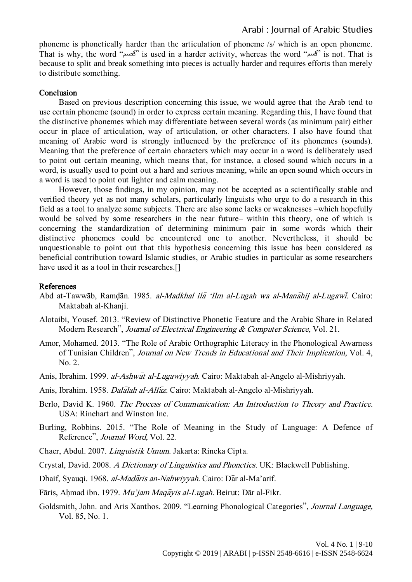phoneme is phonetically harder than the articulation of phoneme /s/ which is an open phoneme. That is why, the word 'لصم 'is used in a harder activity, whereas the word 'لسم 'is not. That is because to split and break something into pieces is actually harder and requires efforts than merely to distribute something.

# **Conclusion**

Based on previous description concerning this issue, we would agree that the Arab tend to use certain phoneme (sound) in order to express certain meaning. Regarding this, I have found that the distinctive phonemes which may differentiate between several words (as minimum pair) either occur in place of articulation, way of articulation, or other characters. I also have found that meaning of Arabic word is strongly influenced by the preference of its phonemes (sounds). Meaning that the preference of certain characters which may occur in a word is deliberately used to point out certain meaning, which means that, for instance, a closed sound which occurs in a word, is usually used to point out a hard and serious meaning, while an open sound which occurs in a word is used to point out lighter and calm meaning.

However, those findings, in my opinion, may not be accepted as a scientifically stable and verified theory yet as not many scholars, particularly linguists who urge to do a research in this field as a tool to analyze some subjects. There are also some lacks or weaknesses –which hopefully would be solved by some researchers in the near future– within this theory, one of which is concerning the standardization of determining minimum pair in some words which their distinctive phonemes could be encountered one to another. Nevertheless, it should be unquestionable to point out that this hypothesis concerning this issue has been considered as beneficial contribution toward Islamic studies, or Arabic studies in particular as some researchers have used it as a tool in their researches.[]

#### References

- Abd at-Tawwāb, Ramḍān. 1985. al-Madkhal ila 'Ilm al-Lugah wa al-Manahij al-Lugawi. Cairo: Maktabah al-Khanji.
- Alotaibi, Yousef. 2013. 'Review of Distinctive Phonetic Feature and the Arabic Share in Related Modern Research", Journal of Electrical Engineering & Computer Science, Vol. 21.
- Amor, Mohamed. 2013. 'The Role of Arabic Orthographic Literacy in the Phonological Awarness of Tunisian Children', Journal on New Trends in Educational and Their Implication, Vol. 4, No. 2.
- Anis, Ibrahim. 1999. *al-Ashwat al-Lugawiyyah*. Cairo: Maktabah al-Angelo al-Mishriyyah.
- Anis, Ibrahim. 1958. Dalalah al-Alfaz. Cairo: Maktabah al-Angelo al-Mishriyyah.
- Berlo, David K. 1960. The Process of Communication: An Introduction to Theory and Practice. USA: Rinehart and Winston Inc.
- Burling, Robbins. 2015. 'The Role of Meaning in the Study of Language: A Defence of Reference", *Journal Word*, Vol. 22.
- Chaer, Abdul. 2007. Linguistik Umum. Jakarta: Rineka Cipta.
- Crystal, David. 2008. A Dictionary of Linguistics and Phonetics. UK: Blackwell Publishing.
- Dhaif, Syauqi. 1968. *al-Madaris an-Nahwiyyah.* Cairo: Dar al-Ma'arif.
- Fāris, Ahmad ibn. 1979. Mu'jam Maqayis al-Lugah. Beirut: Dār al-Fikr.
- Goldsmith, John. and Aris Xanthos. 2009. 'Learning Phonological Categories', Journal Language, Vol. 85, No. 1.